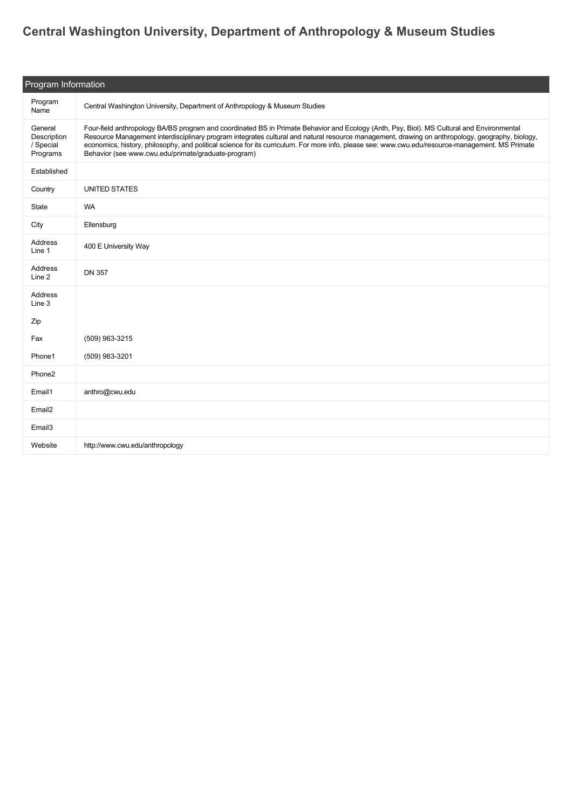## **[Central Washington University, Department of Anthropology & Museum Studies](https://guide.americananthro.org/357/Central-Washington-University-Department-of-Anthropology-Museum-Studies)**

| Program Information                             |                                                                                                                                                                                                                                                                                                                                                                                                                                                                                                         |  |
|-------------------------------------------------|---------------------------------------------------------------------------------------------------------------------------------------------------------------------------------------------------------------------------------------------------------------------------------------------------------------------------------------------------------------------------------------------------------------------------------------------------------------------------------------------------------|--|
| Program<br>Name                                 | Central Washington University, Department of Anthropology & Museum Studies                                                                                                                                                                                                                                                                                                                                                                                                                              |  |
| General<br>Description<br>/ Special<br>Programs | Four-field anthropology BA/BS program and coordinated BS in Primate Behavior and Ecology (Anth, Psy, Biol). MS Cultural and Environmental<br>Resource Management interdisciplinary program integrates cultural and natural resource management, drawing on anthropology, geography, biology,<br>economics, history, philosophy, and political science for its curriculum. For more info, please see: www.cwu.edu/resource-management. MS Primate<br>Behavior (see www.cwu.edu/primate/graduate-program) |  |
| Established                                     |                                                                                                                                                                                                                                                                                                                                                                                                                                                                                                         |  |
| Country                                         | <b>UNITED STATES</b>                                                                                                                                                                                                                                                                                                                                                                                                                                                                                    |  |
| State                                           | <b>WA</b>                                                                                                                                                                                                                                                                                                                                                                                                                                                                                               |  |
| City                                            | Ellensburg                                                                                                                                                                                                                                                                                                                                                                                                                                                                                              |  |
| Address<br>Line 1                               | 400 E University Way                                                                                                                                                                                                                                                                                                                                                                                                                                                                                    |  |
| Address<br>Line 2                               | <b>DN 357</b>                                                                                                                                                                                                                                                                                                                                                                                                                                                                                           |  |
| Address<br>Line 3                               |                                                                                                                                                                                                                                                                                                                                                                                                                                                                                                         |  |
| Zip                                             |                                                                                                                                                                                                                                                                                                                                                                                                                                                                                                         |  |
| Fax                                             | (509) 963-3215                                                                                                                                                                                                                                                                                                                                                                                                                                                                                          |  |
| Phone1                                          | (509) 963-3201                                                                                                                                                                                                                                                                                                                                                                                                                                                                                          |  |
| Phone2                                          |                                                                                                                                                                                                                                                                                                                                                                                                                                                                                                         |  |
| Email1                                          | anthro@cwu.edu                                                                                                                                                                                                                                                                                                                                                                                                                                                                                          |  |
| Email <sub>2</sub>                              |                                                                                                                                                                                                                                                                                                                                                                                                                                                                                                         |  |
| Email3                                          |                                                                                                                                                                                                                                                                                                                                                                                                                                                                                                         |  |
| Website                                         | http://www.cwu.edu/anthropology                                                                                                                                                                                                                                                                                                                                                                                                                                                                         |  |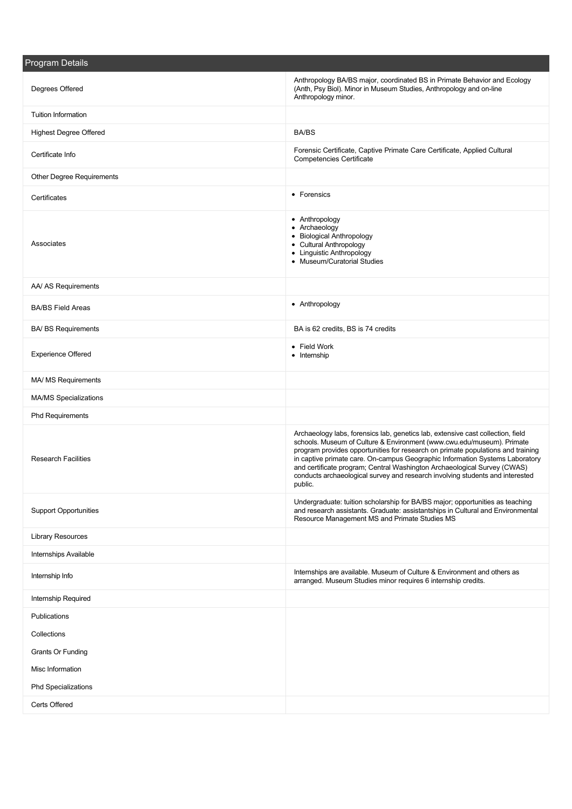| Program Details               |                                                                                                                                                                                                                                                                                                                                                                                                                                                                                                      |  |  |
|-------------------------------|------------------------------------------------------------------------------------------------------------------------------------------------------------------------------------------------------------------------------------------------------------------------------------------------------------------------------------------------------------------------------------------------------------------------------------------------------------------------------------------------------|--|--|
| Degrees Offered               | Anthropology BA/BS major, coordinated BS in Primate Behavior and Ecology<br>(Anth, Psy Biol). Minor in Museum Studies, Anthropology and on-line<br>Anthropology minor.                                                                                                                                                                                                                                                                                                                               |  |  |
| <b>Tuition Information</b>    |                                                                                                                                                                                                                                                                                                                                                                                                                                                                                                      |  |  |
| <b>Highest Degree Offered</b> | <b>BA/BS</b>                                                                                                                                                                                                                                                                                                                                                                                                                                                                                         |  |  |
| Certificate Info              | Forensic Certificate, Captive Primate Care Certificate, Applied Cultural<br><b>Competencies Certificate</b>                                                                                                                                                                                                                                                                                                                                                                                          |  |  |
| Other Degree Requirements     |                                                                                                                                                                                                                                                                                                                                                                                                                                                                                                      |  |  |
| Certificates                  | • Forensics                                                                                                                                                                                                                                                                                                                                                                                                                                                                                          |  |  |
| Associates                    | • Anthropology<br>• Archaeology<br>• Biological Anthropology<br>• Cultural Anthropology<br>• Linguistic Anthropology<br>• Museum/Curatorial Studies                                                                                                                                                                                                                                                                                                                                                  |  |  |
| AA/ AS Requirements           |                                                                                                                                                                                                                                                                                                                                                                                                                                                                                                      |  |  |
| <b>BA/BS Field Areas</b>      | • Anthropology                                                                                                                                                                                                                                                                                                                                                                                                                                                                                       |  |  |
| <b>BA/ BS Requirements</b>    | BA is 62 credits, BS is 74 credits                                                                                                                                                                                                                                                                                                                                                                                                                                                                   |  |  |
| <b>Experience Offered</b>     | • Field Work<br>• Internship                                                                                                                                                                                                                                                                                                                                                                                                                                                                         |  |  |
| MA/ MS Requirements           |                                                                                                                                                                                                                                                                                                                                                                                                                                                                                                      |  |  |
| MA/MS Specializations         |                                                                                                                                                                                                                                                                                                                                                                                                                                                                                                      |  |  |
| <b>Phd Requirements</b>       |                                                                                                                                                                                                                                                                                                                                                                                                                                                                                                      |  |  |
| <b>Research Facilities</b>    | Archaeology labs, forensics lab, genetics lab, extensive cast collection, field<br>schools. Museum of Culture & Environment (www.cwu.edu/museum). Primate<br>program provides opportunities for research on primate populations and training<br>in captive primate care. On-campus Geographic Information Systems Laboratory<br>and certificate program; Central Washington Archaeological Survey (CWAS)<br>conducts archaeological survey and research involving students and interested<br>public. |  |  |
| <b>Support Opportunities</b>  | Undergraduate: tuition scholarship for BA/BS major; opportunities as teaching<br>and research assistants. Graduate: assistantships in Cultural and Environmental<br>Resource Management MS and Primate Studies MS                                                                                                                                                                                                                                                                                    |  |  |
| <b>Library Resources</b>      |                                                                                                                                                                                                                                                                                                                                                                                                                                                                                                      |  |  |
| Internships Available         |                                                                                                                                                                                                                                                                                                                                                                                                                                                                                                      |  |  |
| Internship Info               | Internships are available. Museum of Culture & Environment and others as<br>arranged. Museum Studies minor requires 6 internship credits.                                                                                                                                                                                                                                                                                                                                                            |  |  |
| Internship Required           |                                                                                                                                                                                                                                                                                                                                                                                                                                                                                                      |  |  |
| Publications                  |                                                                                                                                                                                                                                                                                                                                                                                                                                                                                                      |  |  |
| Collections                   |                                                                                                                                                                                                                                                                                                                                                                                                                                                                                                      |  |  |
| <b>Grants Or Funding</b>      |                                                                                                                                                                                                                                                                                                                                                                                                                                                                                                      |  |  |
| Misc Information              |                                                                                                                                                                                                                                                                                                                                                                                                                                                                                                      |  |  |
| Phd Specializations           |                                                                                                                                                                                                                                                                                                                                                                                                                                                                                                      |  |  |
| Certs Offered                 |                                                                                                                                                                                                                                                                                                                                                                                                                                                                                                      |  |  |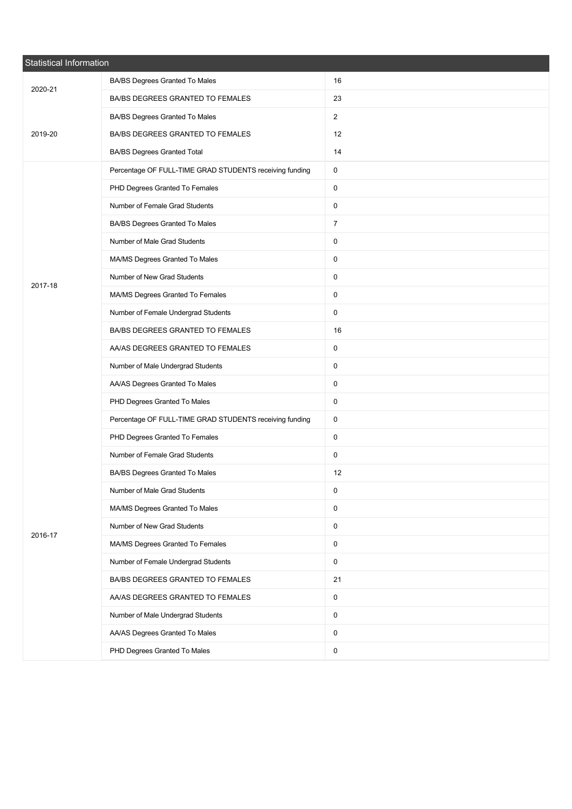| <b>Statistical Information</b> |                                                         |                |  |  |
|--------------------------------|---------------------------------------------------------|----------------|--|--|
| 2020-21                        | BA/BS Degrees Granted To Males                          | 16             |  |  |
|                                | BA/BS DEGREES GRANTED TO FEMALES                        | 23             |  |  |
|                                | BA/BS Degrees Granted To Males                          | $\overline{2}$ |  |  |
| 2019-20                        | BA/BS DEGREES GRANTED TO FEMALES                        | 12             |  |  |
|                                | <b>BA/BS Degrees Granted Total</b>                      | 14             |  |  |
|                                | Percentage OF FULL-TIME GRAD STUDENTS receiving funding | 0              |  |  |
|                                | PHD Degrees Granted To Females                          | 0              |  |  |
|                                | Number of Female Grad Students                          | 0              |  |  |
|                                | BA/BS Degrees Granted To Males                          | $\overline{7}$ |  |  |
|                                | Number of Male Grad Students                            | 0              |  |  |
|                                | MA/MS Degrees Granted To Males                          | 0              |  |  |
| 2017-18                        | Number of New Grad Students                             | 0              |  |  |
|                                | MA/MS Degrees Granted To Females                        | 0              |  |  |
|                                | Number of Female Undergrad Students                     | 0              |  |  |
|                                | BA/BS DEGREES GRANTED TO FEMALES                        | 16             |  |  |
|                                | AA/AS DEGREES GRANTED TO FEMALES                        | 0              |  |  |
|                                | Number of Male Undergrad Students                       | 0              |  |  |
|                                | AA/AS Degrees Granted To Males                          | 0              |  |  |
|                                | PHD Degrees Granted To Males                            | $\mathbf 0$    |  |  |
|                                | Percentage OF FULL-TIME GRAD STUDENTS receiving funding | 0              |  |  |
|                                | PHD Degrees Granted To Females                          | 0              |  |  |
|                                | Number of Female Grad Students                          | 0              |  |  |
|                                | BA/BS Degrees Granted To Males                          | 12             |  |  |
|                                | Number of Male Grad Students                            | 0              |  |  |
|                                | MA/MS Degrees Granted To Males                          | $\mathsf{O}$   |  |  |
| 2016-17                        | Number of New Grad Students                             | $\mathsf{O}$   |  |  |
|                                | MA/MS Degrees Granted To Females                        | 0              |  |  |
|                                | Number of Female Undergrad Students                     | $\mathsf{O}$   |  |  |
|                                | BA/BS DEGREES GRANTED TO FEMALES                        | 21             |  |  |
|                                | AA/AS DEGREES GRANTED TO FEMALES                        | 0              |  |  |
|                                | Number of Male Undergrad Students                       | 0              |  |  |
|                                | AA/AS Degrees Granted To Males                          | 0              |  |  |
|                                | PHD Degrees Granted To Males                            | 0              |  |  |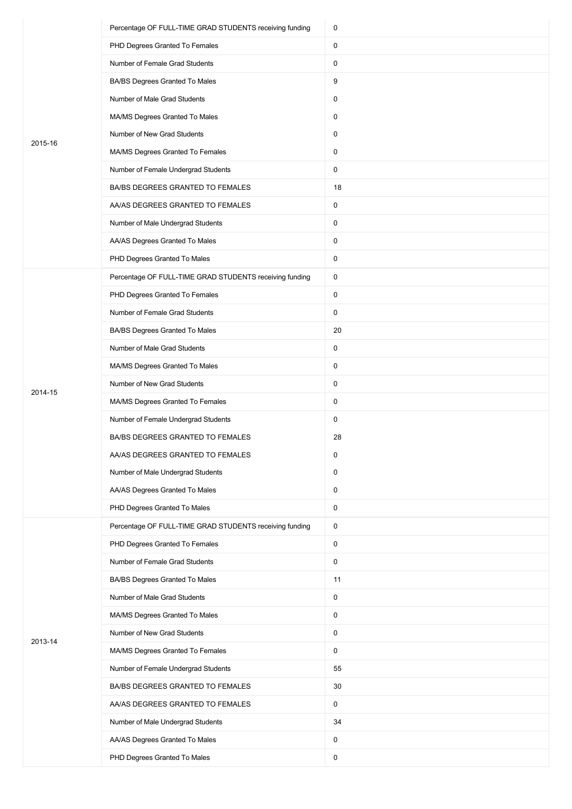|         | Percentage OF FULL-TIME GRAD STUDENTS receiving funding | 0            |
|---------|---------------------------------------------------------|--------------|
|         | PHD Degrees Granted To Females                          | 0            |
|         | Number of Female Grad Students                          | 0            |
|         | BA/BS Degrees Granted To Males                          | 9            |
|         | Number of Male Grad Students                            | 0            |
|         | MA/MS Degrees Granted To Males                          | 0            |
| 2015-16 | Number of New Grad Students                             | 0            |
|         | MA/MS Degrees Granted To Females                        | 0            |
|         | Number of Female Undergrad Students                     | 0            |
|         | BA/BS DEGREES GRANTED TO FEMALES                        | 18           |
|         | AA/AS DEGREES GRANTED TO FEMALES                        | 0            |
|         | Number of Male Undergrad Students                       | 0            |
|         | AA/AS Degrees Granted To Males                          | 0            |
|         | PHD Degrees Granted To Males                            | 0            |
|         | Percentage OF FULL-TIME GRAD STUDENTS receiving funding | 0            |
|         | PHD Degrees Granted To Females                          | 0            |
|         | Number of Female Grad Students                          | 0            |
|         | BA/BS Degrees Granted To Males                          | 20           |
|         | Number of Male Grad Students                            | 0            |
|         | MA/MS Degrees Granted To Males                          | 0            |
|         | Number of New Grad Students                             | 0            |
| 2014-15 | MA/MS Degrees Granted To Females                        | 0            |
|         | Number of Female Undergrad Students                     | 0            |
|         | BA/BS DEGREES GRANTED TO FEMALES                        | 28           |
|         | AA/AS DEGREES GRANTED TO FEMALES                        | 0            |
|         | Number of Male Undergrad Students                       | 0            |
|         | AA/AS Degrees Granted To Males                          | 0            |
|         | PHD Degrees Granted To Males                            | 0            |
|         | Percentage OF FULL-TIME GRAD STUDENTS receiving funding | 0            |
|         | PHD Degrees Granted To Females                          | 0            |
|         | Number of Female Grad Students                          | 0            |
|         | BA/BS Degrees Granted To Males                          | 11           |
|         | Number of Male Grad Students                            | 0            |
|         | MA/MS Degrees Granted To Males                          | 0            |
|         | Number of New Grad Students                             | 0            |
| 2013-14 | MA/MS Degrees Granted To Females                        | 0            |
|         | Number of Female Undergrad Students                     | 55           |
|         | BA/BS DEGREES GRANTED TO FEMALES                        | 30           |
|         | AA/AS DEGREES GRANTED TO FEMALES                        | $\mathsf{O}$ |
|         | Number of Male Undergrad Students                       | 34           |
|         | AA/AS Degrees Granted To Males                          | 0            |
|         | PHD Degrees Granted To Males                            | 0            |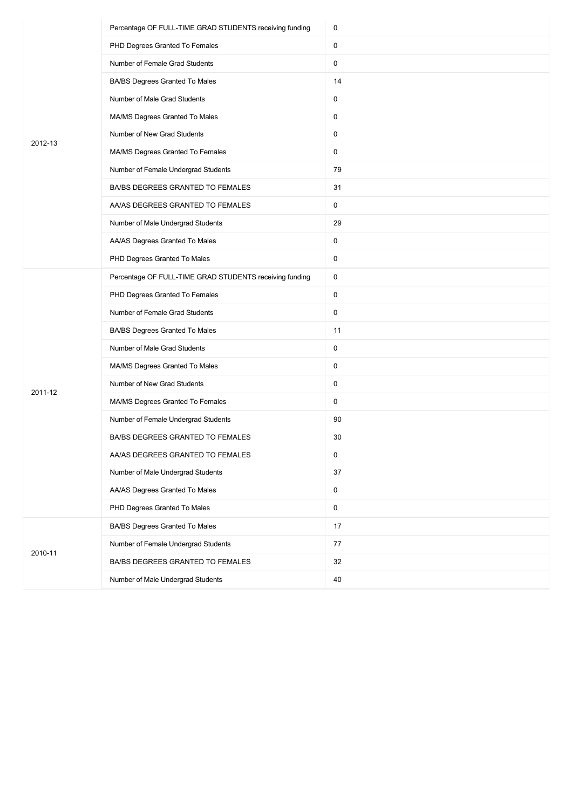|         | Percentage OF FULL-TIME GRAD STUDENTS receiving funding | 0                   |
|---------|---------------------------------------------------------|---------------------|
|         | PHD Degrees Granted To Females                          | 0                   |
|         | Number of Female Grad Students                          | 0                   |
|         | BA/BS Degrees Granted To Males                          | 14                  |
|         | Number of Male Grad Students                            | 0                   |
|         | MA/MS Degrees Granted To Males                          | 0                   |
| 2012-13 | Number of New Grad Students                             | 0                   |
|         | MA/MS Degrees Granted To Females                        | 0                   |
|         | Number of Female Undergrad Students                     | 79                  |
|         | BA/BS DEGREES GRANTED TO FEMALES                        | 31                  |
|         | AA/AS DEGREES GRANTED TO FEMALES                        | 0                   |
|         | Number of Male Undergrad Students                       | 29                  |
|         | AA/AS Degrees Granted To Males                          | 0                   |
|         | PHD Degrees Granted To Males                            | 0                   |
|         | Percentage OF FULL-TIME GRAD STUDENTS receiving funding | 0                   |
|         | PHD Degrees Granted To Females                          | 0                   |
|         | Number of Female Grad Students                          | 0                   |
|         | BA/BS Degrees Granted To Males                          | 11                  |
|         | Number of Male Grad Students                            | 0                   |
|         | MA/MS Degrees Granted To Males                          | 0                   |
| 2011-12 | Number of New Grad Students                             | 0                   |
|         | MA/MS Degrees Granted To Females                        | 0                   |
|         | Number of Female Undergrad Students                     | 90                  |
|         | BA/BS DEGREES GRANTED TO FEMALES                        | 30                  |
|         | AA/AS DEGREES GRANTED TO FEMALES                        | 0                   |
|         | Number of Male Undergrad Students                       | 37                  |
|         | AA/AS Degrees Granted To Males                          | 0                   |
|         | PHD Degrees Granted To Males                            | $\mathsf{O}\xspace$ |
|         | BA/BS Degrees Granted To Males                          | 17                  |
|         | Number of Female Undergrad Students                     | 77                  |
| 2010-11 | BA/BS DEGREES GRANTED TO FEMALES                        | 32                  |
|         | Number of Male Undergrad Students                       | 40                  |